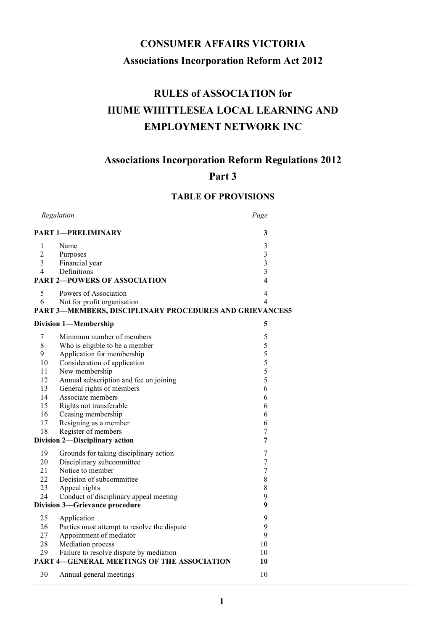# CONSUMER AFFAIRS VICTORIA Associations Incorporation Reform Act 2012

# RULES of ASSOCIATION for HUME WHITTLESEA LOCAL LEARNING AND EMPLOYMENT NETWORK INC

# Associations Incorporation Reform Regulations 2012

# Part 3

# TABLE OF PROVISIONS

| Regulation                                              |                                                         | Page                    |
|---------------------------------------------------------|---------------------------------------------------------|-------------------------|
|                                                         | <b>PART 1-PRELIMINARY</b>                               | 3                       |
| 1                                                       | Name                                                    | 3                       |
| $\overline{c}$                                          | Purposes                                                | $\mathfrak{Z}$          |
| $\mathfrak{Z}$                                          | Financial year                                          | $\mathfrak{Z}$          |
| 4                                                       | Definitions                                             | 3                       |
| <b>PART 2-POWERS OF ASSOCIATION</b>                     |                                                         | $\overline{\mathbf{4}}$ |
| 5                                                       | Powers of Association                                   | $\overline{4}$          |
| 6                                                       | Not for profit organisation                             | $\overline{4}$          |
|                                                         | PART 3-MEMBERS, DISCIPLINARY PROCEDURES AND GRIEVANCES5 |                         |
|                                                         | <b>Division 1-Membership</b>                            | 5                       |
| 7                                                       | Minimum number of members                               | 5                       |
| $\,$ 8 $\,$                                             | Who is eligible to be a member                          | 5                       |
| 9                                                       | Application for membership                              | 5                       |
| 10                                                      | Consideration of application                            | 5                       |
| 11                                                      | New membership                                          | 5                       |
| 12                                                      | Annual subscription and fee on joining                  | 5                       |
| 13                                                      | General rights of members                               | 6                       |
| 14                                                      | Associate members                                       | 6                       |
| 15                                                      | Rights not transferable                                 | 6                       |
| 16                                                      | Ceasing membership                                      | 6                       |
| 17                                                      | Resigning as a member                                   | 6                       |
| 18                                                      | Register of members                                     | 7                       |
| $\overline{7}$<br>Division 2-Disciplinary action        |                                                         |                         |
| 19                                                      | Grounds for taking disciplinary action                  | 7                       |
| 20                                                      | Disciplinary subcommittee                               | $\boldsymbol{7}$        |
| 21                                                      | Notice to member                                        | $\boldsymbol{7}$        |
| 22                                                      | Decision of subcommittee                                | $8\,$                   |
| 23                                                      | Appeal rights                                           | $\,8\,$                 |
| 24                                                      | Conduct of disciplinary appeal meeting                  | 9                       |
| Division 3-Grievance procedure                          |                                                         | 9                       |
| 25                                                      | Application                                             | 9                       |
| 26                                                      | Parties must attempt to resolve the dispute             | 9                       |
| 27                                                      | Appointment of mediator                                 | 9                       |
| 28                                                      | Mediation process                                       | 10                      |
| 29                                                      | Failure to resolve dispute by mediation                 | 10                      |
| <b>PART 4-GENERAL MEETINGS OF THE ASSOCIATION</b><br>10 |                                                         |                         |
| 30                                                      | Annual general meetings                                 | 10                      |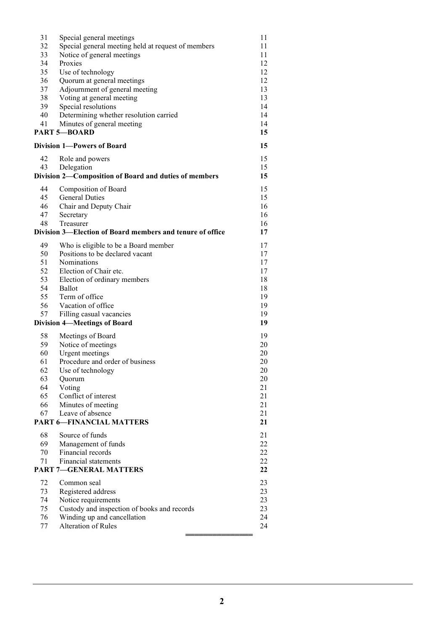| 31                                  | Special general meetings                                  | 11       |
|-------------------------------------|-----------------------------------------------------------|----------|
| 32                                  | Special general meeting held at request of members        | 11       |
| 33                                  | Notice of general meetings                                | 11       |
| 34                                  | Proxies                                                   | 12       |
|                                     |                                                           |          |
| 35                                  | Use of technology                                         | 12       |
| 36                                  | Quorum at general meetings                                | 12       |
| 37                                  | Adjournment of general meeting                            | 13       |
| 38                                  | Voting at general meeting                                 | 13       |
| 39                                  | Special resolutions                                       | 14       |
| 40                                  | Determining whether resolution carried                    | 14       |
| 41                                  | Minutes of general meeting                                | 14       |
|                                     | <b>PART 5-BOARD</b>                                       | 15       |
|                                     | <b>Division 1—Powers of Board</b>                         | 15       |
| 42                                  | Role and powers                                           | 15       |
| 43                                  | Delegation                                                | 15       |
|                                     | Division 2-Composition of Board and duties of members     | 15       |
|                                     |                                                           |          |
| 44                                  | Composition of Board<br><b>General Duties</b>             | 15       |
| 45                                  |                                                           | 15       |
| 46                                  | Chair and Deputy Chair                                    | 16       |
| 47                                  | Secretary                                                 | 16       |
| 48                                  | Treasurer                                                 | 16       |
|                                     | Division 3—Election of Board members and tenure of office | 17       |
| 49                                  | Who is eligible to be a Board member                      | 17       |
| 50                                  | Positions to be declared vacant                           | 17       |
| 51                                  | Nominations                                               | 17       |
| 52                                  | Election of Chair etc.                                    | 17       |
| 53                                  |                                                           | 18       |
|                                     | Election of ordinary members                              |          |
| 54                                  | Ballot                                                    | 18       |
| 55                                  | Term of office                                            | 19       |
| 56                                  | Vacation of office                                        | 19       |
| 57                                  | Filling casual vacancies                                  | 19<br>19 |
| <b>Division 4-Meetings of Board</b> |                                                           |          |
| 58                                  | Meetings of Board                                         | 19       |
| 59                                  | Notice of meetings                                        | 20       |
| 60                                  | Urgent meetings                                           | 20       |
| 61                                  | Procedure and order of business                           | 20       |
| 62                                  | Use of technology                                         | 20       |
| 63                                  |                                                           | 20       |
|                                     | Quorum                                                    |          |
| 64                                  | Voting                                                    | 21       |
| 65                                  | Conflict of interest                                      | 21       |
| 66                                  | Minutes of meeting                                        | 21       |
| 67                                  | Leave of absence                                          | 21       |
|                                     | <b>PART 6-FINANCIAL MATTERS</b>                           | 21       |
| 68                                  | Source of funds                                           | 21       |
| 69                                  | Management of funds                                       | 22       |
| 70                                  | Financial records                                         | 22       |
| 71                                  | Financial statements                                      | 22       |
|                                     | <b>PART 7-GENERAL MATTERS</b>                             | 22       |
|                                     |                                                           |          |
| 72                                  | Common seal                                               | 23       |
| 73                                  | Registered address                                        | 23       |
| 74                                  | Notice requirements                                       | 23       |
| 75                                  | Custody and inspection of books and records               | 23       |
| 76                                  | Winding up and cancellation                               | 24       |
| 77                                  | Alteration of Rules                                       | 24       |
|                                     |                                                           |          |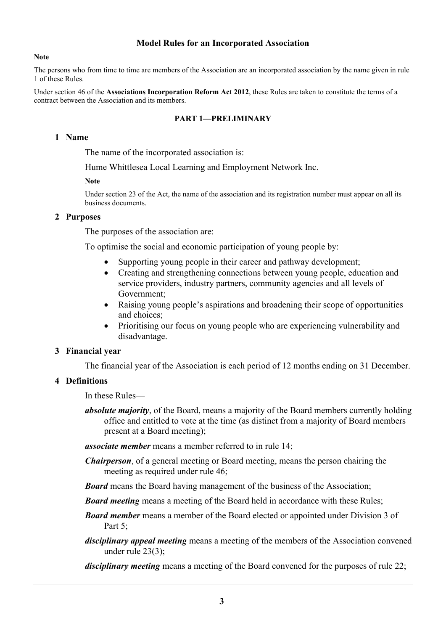#### Model Rules for an Incorporated Association

#### Note

The persons who from time to time are members of the Association are an incorporated association by the name given in rule 1 of these Rules.

Under section 46 of the Associations Incorporation Reform Act 2012, these Rules are taken to constitute the terms of a contract between the Association and its members.

#### PART 1—PRELIMINARY

#### 1 Name

The name of the incorporated association is:

Hume Whittlesea Local Learning and Employment Network Inc.

#### Note

Under section 23 of the Act, the name of the association and its registration number must appear on all its business documents.

#### 2 Purposes

The purposes of the association are:

To optimise the social and economic participation of young people by:

- Supporting young people in their career and pathway development;
- Creating and strengthening connections between young people, education and service providers, industry partners, community agencies and all levels of Government;
- Raising young people's aspirations and broadening their scope of opportunities and choices;
- Prioritising our focus on young people who are experiencing vulnerability and disadvantage.

#### 3 Financial year

The financial year of the Association is each period of 12 months ending on 31 December.

## 4 Definitions

In these Rules—

absolute majority, of the Board, means a majority of the Board members currently holding office and entitled to vote at the time (as distinct from a majority of Board members present at a Board meeting);

**associate member** means a member referred to in rule 14;

- **Chairperson**, of a general meeting or Board meeting, means the person chairing the meeting as required under rule 46;
- **Board** means the Board having management of the business of the Association;
- **Board meeting** means a meeting of the Board held in accordance with these Rules;
- **Board member** means a member of the Board elected or appointed under Division 3 of Part 5:
- disciplinary appeal meeting means a meeting of the members of the Association convened under rule 23(3);
- disciplinary meeting means a meeting of the Board convened for the purposes of rule 22;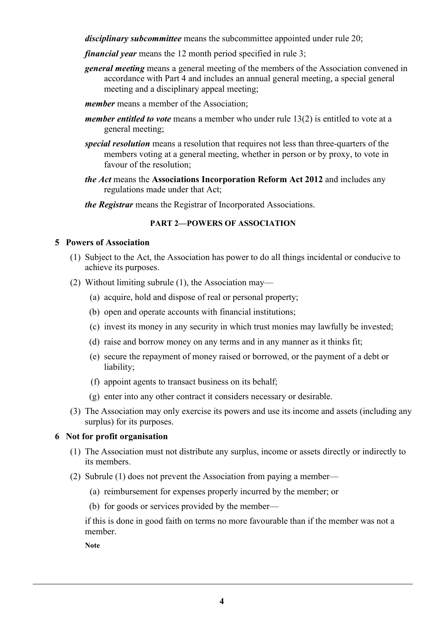disciplinary subcommittee means the subcommittee appointed under rule 20;

- financial year means the 12 month period specified in rule 3;
- general meeting means a general meeting of the members of the Association convened in accordance with Part 4 and includes an annual general meeting, a special general meeting and a disciplinary appeal meeting;
- member means a member of the Association:
- *member entitled to vote* means a member who under rule  $13(2)$  is entitled to vote at a general meeting;
- special resolution means a resolution that requires not less than three-quarters of the members voting at a general meeting, whether in person or by proxy, to vote in favour of the resolution;
- the Act means the Associations Incorporation Reform Act 2012 and includes any regulations made under that Act;

the Registrar means the Registrar of Incorporated Associations.

## PART 2—POWERS OF ASSOCIATION

## 5 Powers of Association

- (1) Subject to the Act, the Association has power to do all things incidental or conducive to achieve its purposes.
- (2) Without limiting subrule (1), the Association may—
	- (a) acquire, hold and dispose of real or personal property;
	- (b) open and operate accounts with financial institutions;
	- (c) invest its money in any security in which trust monies may lawfully be invested;
	- (d) raise and borrow money on any terms and in any manner as it thinks fit;
	- (e) secure the repayment of money raised or borrowed, or the payment of a debt or liability;
	- (f) appoint agents to transact business on its behalf;
	- (g) enter into any other contract it considers necessary or desirable.
- (3) The Association may only exercise its powers and use its income and assets (including any surplus) for its purposes.

## 6 Not for profit organisation

- (1) The Association must not distribute any surplus, income or assets directly or indirectly to its members.
- (2) Subrule (1) does not prevent the Association from paying a member—
	- (a) reimbursement for expenses properly incurred by the member; or
	- (b) for goods or services provided by the member—

if this is done in good faith on terms no more favourable than if the member was not a member.

Note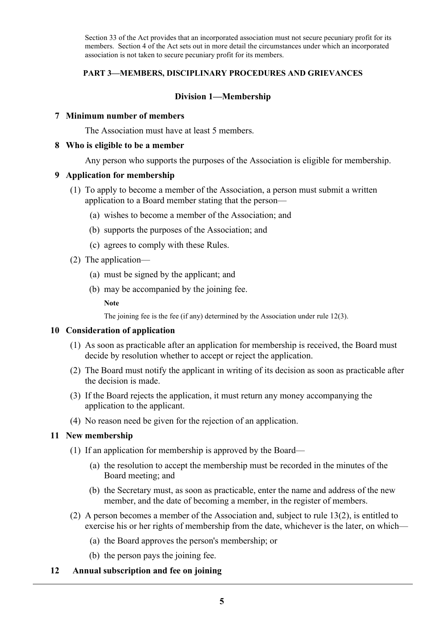Section 33 of the Act provides that an incorporated association must not secure pecuniary profit for its members. Section 4 of the Act sets out in more detail the circumstances under which an incorporated association is not taken to secure pecuniary profit for its members.

## PART 3—MEMBERS, DISCIPLINARY PROCEDURES AND GRIEVANCES

## Division 1—Membership

#### 7 Minimum number of members

The Association must have at least 5 members.

#### 8 Who is eligible to be a member

Any person who supports the purposes of the Association is eligible for membership.

## 9 Application for membership

- (1) To apply to become a member of the Association, a person must submit a written application to a Board member stating that the person—
	- (a) wishes to become a member of the Association; and
	- (b) supports the purposes of the Association; and
	- (c) agrees to comply with these Rules.
- (2) The application—
	- (a) must be signed by the applicant; and
	- (b) may be accompanied by the joining fee.

**Note** 

The joining fee is the fee (if any) determined by the Association under rule 12(3).

#### 10 Consideration of application

- (1) As soon as practicable after an application for membership is received, the Board must decide by resolution whether to accept or reject the application.
- (2) The Board must notify the applicant in writing of its decision as soon as practicable after the decision is made.
- (3) If the Board rejects the application, it must return any money accompanying the application to the applicant.
- (4) No reason need be given for the rejection of an application.

## 11 New membership

- (1) If an application for membership is approved by the Board—
	- (a) the resolution to accept the membership must be recorded in the minutes of the Board meeting; and
	- (b) the Secretary must, as soon as practicable, enter the name and address of the new member, and the date of becoming a member, in the register of members.
- (2) A person becomes a member of the Association and, subject to rule 13(2), is entitled to exercise his or her rights of membership from the date, whichever is the later, on which—
	- (a) the Board approves the person's membership; or
	- (b) the person pays the joining fee.
- 12 Annual subscription and fee on joining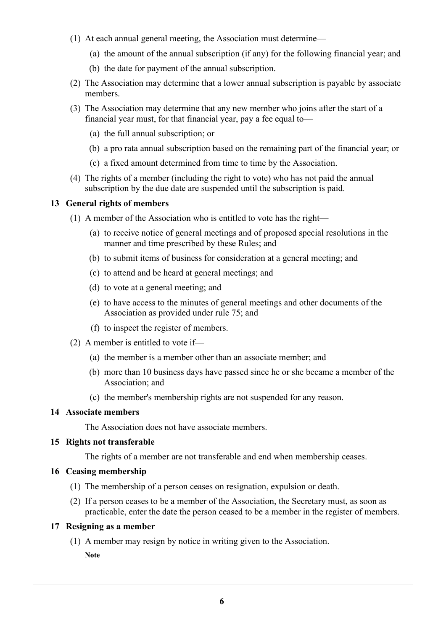- (1) At each annual general meeting, the Association must determine—
	- (a) the amount of the annual subscription (if any) for the following financial year; and
	- (b) the date for payment of the annual subscription.
- (2) The Association may determine that a lower annual subscription is payable by associate members.
- (3) The Association may determine that any new member who joins after the start of a financial year must, for that financial year, pay a fee equal to—
	- (a) the full annual subscription; or
	- (b) a pro rata annual subscription based on the remaining part of the financial year; or
	- (c) a fixed amount determined from time to time by the Association.
- (4) The rights of a member (including the right to vote) who has not paid the annual subscription by the due date are suspended until the subscription is paid.

#### 13 General rights of members

- (1) A member of the Association who is entitled to vote has the right—
	- (a) to receive notice of general meetings and of proposed special resolutions in the manner and time prescribed by these Rules; and
	- (b) to submit items of business for consideration at a general meeting; and
	- (c) to attend and be heard at general meetings; and
	- (d) to vote at a general meeting; and
	- (e) to have access to the minutes of general meetings and other documents of the Association as provided under rule 75; and
	- (f) to inspect the register of members.
- (2) A member is entitled to vote if—
	- (a) the member is a member other than an associate member; and
	- (b) more than 10 business days have passed since he or she became a member of the Association; and
	- (c) the member's membership rights are not suspended for any reason.

#### 14 Associate members

The Association does not have associate members.

## 15 Rights not transferable

The rights of a member are not transferable and end when membership ceases.

## 16 Ceasing membership

- (1) The membership of a person ceases on resignation, expulsion or death.
- (2) If a person ceases to be a member of the Association, the Secretary must, as soon as practicable, enter the date the person ceased to be a member in the register of members.

## 17 Resigning as a member

 (1) A member may resign by notice in writing given to the Association. Note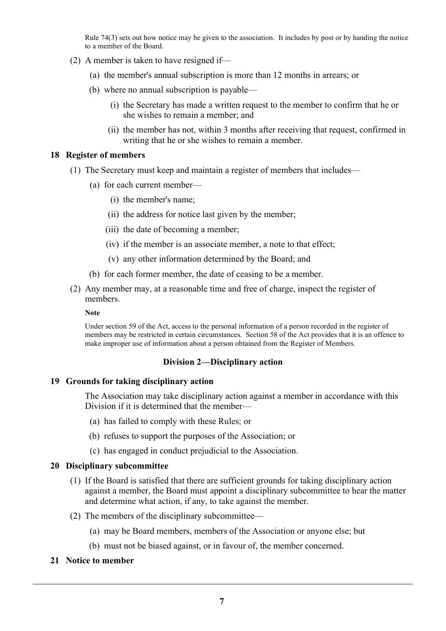Rule 74(3) sets out how notice may be given to the association. It includes by post or by handing the notice to a member of the Board.

- (2) A member is taken to have resigned if—
	- (a) the member's annual subscription is more than 12 months in arrears; or
	- (b) where no annual subscription is payable—
		- (i) the Secretary has made a written request to the member to confirm that he or she wishes to remain a member; and
		- (ii) the member has not, within 3 months after receiving that request, confirmed in writing that he or she wishes to remain a member.

#### 18 Register of members

- (1) The Secretary must keep and maintain a register of members that includes—
	- (a) for each current member—
		- (i) the member's name;
		- (ii) the address for notice last given by the member;
		- (iii) the date of becoming a member;
		- (iv) if the member is an associate member, a note to that effect;
		- (v) any other information determined by the Board; and
	- (b) for each former member, the date of ceasing to be a member.
- (2) Any member may, at a reasonable time and free of charge, inspect the register of members.

#### Note

Under section 59 of the Act, access to the personal information of a person recorded in the register of members may be restricted in certain circumstances. Section 58 of the Act provides that it is an offence to make improper use of information about a person obtained from the Register of Members.

## Division 2—Disciplinary action

#### 19 Grounds for taking disciplinary action

The Association may take disciplinary action against a member in accordance with this Division if it is determined that the member—

- (a) has failed to comply with these Rules; or
- (b) refuses to support the purposes of the Association; or
- (c) has engaged in conduct prejudicial to the Association.

#### 20 Disciplinary subcommittee

- (1) If the Board is satisfied that there are sufficient grounds for taking disciplinary action against a member, the Board must appoint a disciplinary subcommittee to hear the matter and determine what action, if any, to take against the member.
- (2) The members of the disciplinary subcommittee—
	- (a) may be Board members, members of the Association or anyone else; but
	- (b) must not be biased against, or in favour of, the member concerned.

#### 21 Notice to member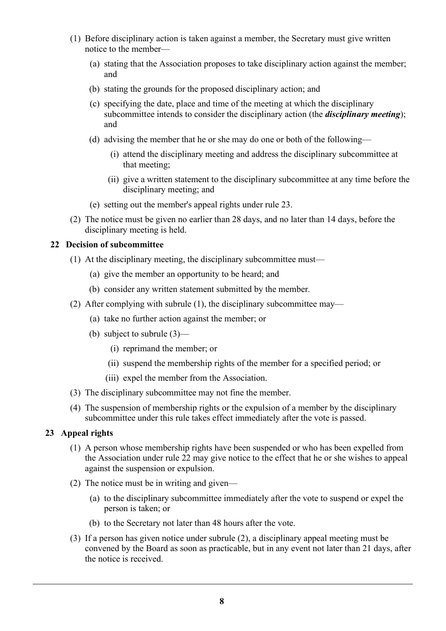- (1) Before disciplinary action is taken against a member, the Secretary must give written notice to the member—
	- (a) stating that the Association proposes to take disciplinary action against the member; and
	- (b) stating the grounds for the proposed disciplinary action; and
	- (c) specifying the date, place and time of the meeting at which the disciplinary subcommittee intends to consider the disciplinary action (the *disciplinary meeting*); and
	- (d) advising the member that he or she may do one or both of the following—
		- (i) attend the disciplinary meeting and address the disciplinary subcommittee at that meeting;
		- (ii) give a written statement to the disciplinary subcommittee at any time before the disciplinary meeting; and
	- (e) setting out the member's appeal rights under rule 23.
- (2) The notice must be given no earlier than 28 days, and no later than 14 days, before the disciplinary meeting is held.

#### 22 Decision of subcommittee

- (1) At the disciplinary meeting, the disciplinary subcommittee must—
	- (a) give the member an opportunity to be heard; and
	- (b) consider any written statement submitted by the member.
- (2) After complying with subrule (1), the disciplinary subcommittee may—
	- (a) take no further action against the member; or
	- (b) subject to subrule (3)—
		- (i) reprimand the member; or
		- (ii) suspend the membership rights of the member for a specified period; or
		- (iii) expel the member from the Association.
- (3) The disciplinary subcommittee may not fine the member.
- (4) The suspension of membership rights or the expulsion of a member by the disciplinary subcommittee under this rule takes effect immediately after the vote is passed.

## 23 Appeal rights

- (1) A person whose membership rights have been suspended or who has been expelled from the Association under rule 22 may give notice to the effect that he or she wishes to appeal against the suspension or expulsion.
- (2) The notice must be in writing and given—
	- (a) to the disciplinary subcommittee immediately after the vote to suspend or expel the person is taken; or
	- (b) to the Secretary not later than 48 hours after the vote.
- (3) If a person has given notice under subrule (2), a disciplinary appeal meeting must be convened by the Board as soon as practicable, but in any event not later than 21 days, after the notice is received.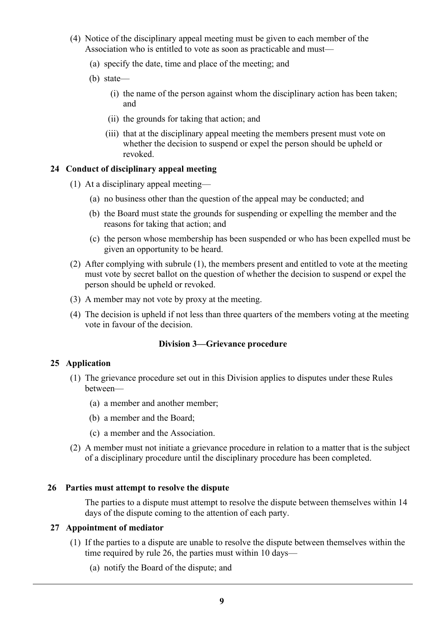- (4) Notice of the disciplinary appeal meeting must be given to each member of the Association who is entitled to vote as soon as practicable and must—
	- (a) specify the date, time and place of the meeting; and
	- (b) state—
		- (i) the name of the person against whom the disciplinary action has been taken; and
		- (ii) the grounds for taking that action; and
		- (iii) that at the disciplinary appeal meeting the members present must vote on whether the decision to suspend or expel the person should be upheld or revoked.

## 24 Conduct of disciplinary appeal meeting

- (1) At a disciplinary appeal meeting—
	- (a) no business other than the question of the appeal may be conducted; and
	- (b) the Board must state the grounds for suspending or expelling the member and the reasons for taking that action; and
	- (c) the person whose membership has been suspended or who has been expelled must be given an opportunity to be heard.
- (2) After complying with subrule (1), the members present and entitled to vote at the meeting must vote by secret ballot on the question of whether the decision to suspend or expel the person should be upheld or revoked.
- (3) A member may not vote by proxy at the meeting.
- (4) The decision is upheld if not less than three quarters of the members voting at the meeting vote in favour of the decision.

## Division 3—Grievance procedure

# 25 Application

- (1) The grievance procedure set out in this Division applies to disputes under these Rules between—
	- (a) a member and another member;
	- (b) a member and the Board;
	- (c) a member and the Association.
- (2) A member must not initiate a grievance procedure in relation to a matter that is the subject of a disciplinary procedure until the disciplinary procedure has been completed.

## 26 Parties must attempt to resolve the dispute

The parties to a dispute must attempt to resolve the dispute between themselves within 14 days of the dispute coming to the attention of each party.

## 27 Appointment of mediator

- (1) If the parties to a dispute are unable to resolve the dispute between themselves within the time required by rule 26, the parties must within 10 days—
	- (a) notify the Board of the dispute; and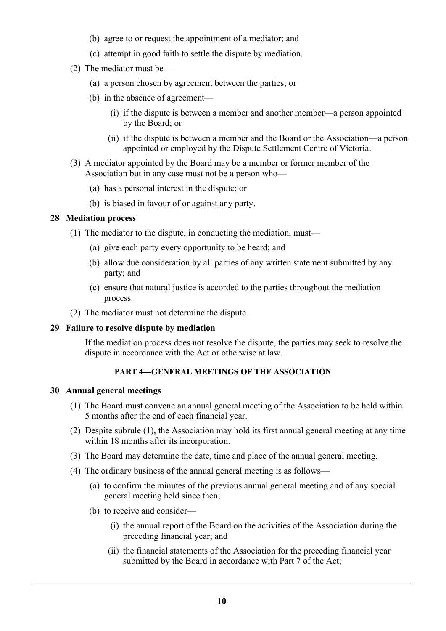- (b) agree to or request the appointment of a mediator; and
- (c) attempt in good faith to settle the dispute by mediation.
- (2) The mediator must be—
	- (a) a person chosen by agreement between the parties; or
	- (b) in the absence of agreement—
		- (i) if the dispute is between a member and another member—a person appointed by the Board; or
		- (ii) if the dispute is between a member and the Board or the Association—a person appointed or employed by the Dispute Settlement Centre of Victoria.
- (3) A mediator appointed by the Board may be a member or former member of the Association but in any case must not be a person who—
	- (a) has a personal interest in the dispute; or
	- (b) is biased in favour of or against any party.

## 28 Mediation process

- (1) The mediator to the dispute, in conducting the mediation, must—
	- (a) give each party every opportunity to be heard; and
	- (b) allow due consideration by all parties of any written statement submitted by any party; and
	- (c) ensure that natural justice is accorded to the parties throughout the mediation process.
- (2) The mediator must not determine the dispute.

## 29 Failure to resolve dispute by mediation

If the mediation process does not resolve the dispute, the parties may seek to resolve the dispute in accordance with the Act or otherwise at law.

# PART 4—GENERAL MEETINGS OF THE ASSOCIATION

## 30 Annual general meetings

- (1) The Board must convene an annual general meeting of the Association to be held within 5 months after the end of each financial year.
- (2) Despite subrule (1), the Association may hold its first annual general meeting at any time within 18 months after its incorporation.
- (3) The Board may determine the date, time and place of the annual general meeting.
- (4) The ordinary business of the annual general meeting is as follows—
	- (a) to confirm the minutes of the previous annual general meeting and of any special general meeting held since then;
	- (b) to receive and consider—
		- (i) the annual report of the Board on the activities of the Association during the preceding financial year; and
		- (ii) the financial statements of the Association for the preceding financial year submitted by the Board in accordance with Part 7 of the Act;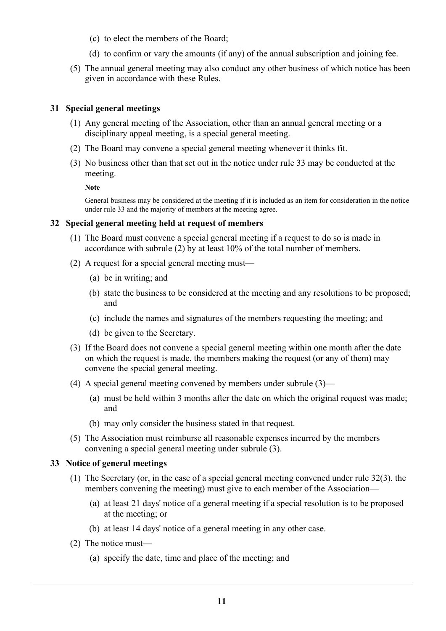- (c) to elect the members of the Board;
- (d) to confirm or vary the amounts (if any) of the annual subscription and joining fee.
- (5) The annual general meeting may also conduct any other business of which notice has been given in accordance with these Rules.

## 31 Special general meetings

- (1) Any general meeting of the Association, other than an annual general meeting or a disciplinary appeal meeting, is a special general meeting.
- (2) The Board may convene a special general meeting whenever it thinks fit.
- (3) No business other than that set out in the notice under rule 33 may be conducted at the meeting.

Note

General business may be considered at the meeting if it is included as an item for consideration in the notice under rule 33 and the majority of members at the meeting agree.

## 32 Special general meeting held at request of members

- (1) The Board must convene a special general meeting if a request to do so is made in accordance with subrule (2) by at least 10% of the total number of members.
- (2) A request for a special general meeting must—
	- (a) be in writing; and
	- (b) state the business to be considered at the meeting and any resolutions to be proposed; and
	- (c) include the names and signatures of the members requesting the meeting; and
	- (d) be given to the Secretary.
- (3) If the Board does not convene a special general meeting within one month after the date on which the request is made, the members making the request (or any of them) may convene the special general meeting.
- (4) A special general meeting convened by members under subrule (3)—
	- (a) must be held within 3 months after the date on which the original request was made; and
	- (b) may only consider the business stated in that request.
- (5) The Association must reimburse all reasonable expenses incurred by the members convening a special general meeting under subrule (3).

# 33 Notice of general meetings

- (1) The Secretary (or, in the case of a special general meeting convened under rule 32(3), the members convening the meeting) must give to each member of the Association—
	- (a) at least 21 days' notice of a general meeting if a special resolution is to be proposed at the meeting; or
	- (b) at least 14 days' notice of a general meeting in any other case.
- (2) The notice must—
	- (a) specify the date, time and place of the meeting; and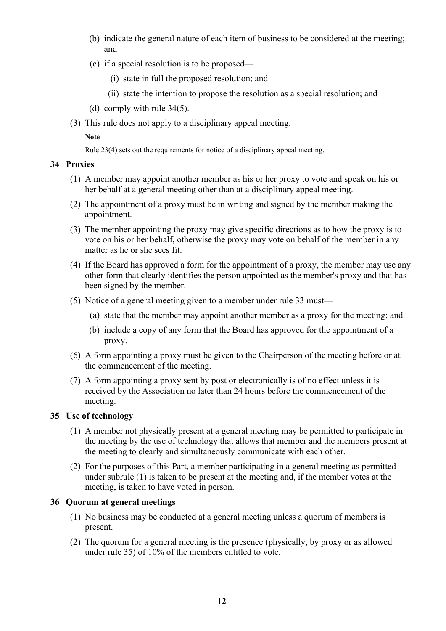- (b) indicate the general nature of each item of business to be considered at the meeting; and
- (c) if a special resolution is to be proposed—
	- (i) state in full the proposed resolution; and
	- (ii) state the intention to propose the resolution as a special resolution; and
- (d) comply with rule 34(5).
- (3) This rule does not apply to a disciplinary appeal meeting.

Note

Rule 23(4) sets out the requirements for notice of a disciplinary appeal meeting.

## 34 Proxies

- (1) A member may appoint another member as his or her proxy to vote and speak on his or her behalf at a general meeting other than at a disciplinary appeal meeting.
- (2) The appointment of a proxy must be in writing and signed by the member making the appointment.
- (3) The member appointing the proxy may give specific directions as to how the proxy is to vote on his or her behalf, otherwise the proxy may vote on behalf of the member in any matter as he or she sees fit.
- (4) If the Board has approved a form for the appointment of a proxy, the member may use any other form that clearly identifies the person appointed as the member's proxy and that has been signed by the member.
- (5) Notice of a general meeting given to a member under rule 33 must—
	- (a) state that the member may appoint another member as a proxy for the meeting; and
	- (b) include a copy of any form that the Board has approved for the appointment of a proxy.
- (6) A form appointing a proxy must be given to the Chairperson of the meeting before or at the commencement of the meeting.
- (7) A form appointing a proxy sent by post or electronically is of no effect unless it is received by the Association no later than 24 hours before the commencement of the meeting.

# 35 Use of technology

- (1) A member not physically present at a general meeting may be permitted to participate in the meeting by the use of technology that allows that member and the members present at the meeting to clearly and simultaneously communicate with each other.
- (2) For the purposes of this Part, a member participating in a general meeting as permitted under subrule (1) is taken to be present at the meeting and, if the member votes at the meeting, is taken to have voted in person.

# 36 Quorum at general meetings

- (1) No business may be conducted at a general meeting unless a quorum of members is present.
- (2) The quorum for a general meeting is the presence (physically, by proxy or as allowed under rule 35) of 10% of the members entitled to vote.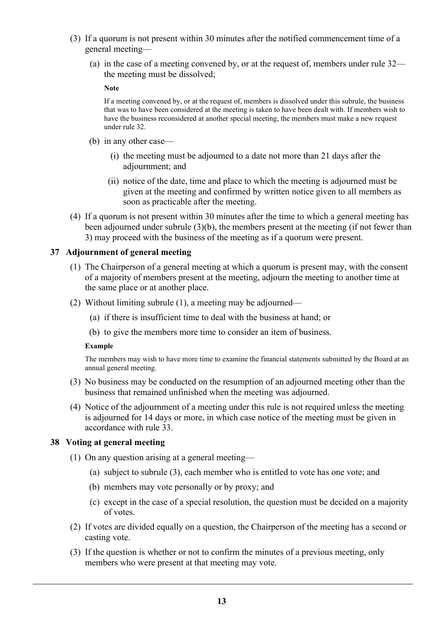- (3) If a quorum is not present within 30 minutes after the notified commencement time of a general meeting—
	- (a) in the case of a meeting convened by, or at the request of, members under rule 32 the meeting must be dissolved;

**Note** 

If a meeting convened by, or at the request of, members is dissolved under this subrule, the business that was to have been considered at the meeting is taken to have been dealt with. If members wish to have the business reconsidered at another special meeting, the members must make a new request under rule 32.

- (b) in any other case—
	- (i) the meeting must be adjourned to a date not more than 21 days after the adjournment; and
	- (ii) notice of the date, time and place to which the meeting is adjourned must be given at the meeting and confirmed by written notice given to all members as soon as practicable after the meeting.
- (4) If a quorum is not present within 30 minutes after the time to which a general meeting has been adjourned under subrule (3)(b), the members present at the meeting (if not fewer than 3) may proceed with the business of the meeting as if a quorum were present.

## 37 Adjournment of general meeting

- (1) The Chairperson of a general meeting at which a quorum is present may, with the consent of a majority of members present at the meeting, adjourn the meeting to another time at the same place or at another place.
- (2) Without limiting subrule (1), a meeting may be adjourned—
	- (a) if there is insufficient time to deal with the business at hand; or
	- (b) to give the members more time to consider an item of business.

#### Example

The members may wish to have more time to examine the financial statements submitted by the Board at an annual general meeting.

- (3) No business may be conducted on the resumption of an adjourned meeting other than the business that remained unfinished when the meeting was adjourned.
- (4) Notice of the adjournment of a meeting under this rule is not required unless the meeting is adjourned for 14 days or more, in which case notice of the meeting must be given in accordance with rule 33.

## 38 Voting at general meeting

- (1) On any question arising at a general meeting—
	- (a) subject to subrule (3), each member who is entitled to vote has one vote; and
	- (b) members may vote personally or by proxy; and
	- (c) except in the case of a special resolution, the question must be decided on a majority of votes.
- (2) If votes are divided equally on a question, the Chairperson of the meeting has a second or casting vote.
- (3) If the question is whether or not to confirm the minutes of a previous meeting, only members who were present at that meeting may vote.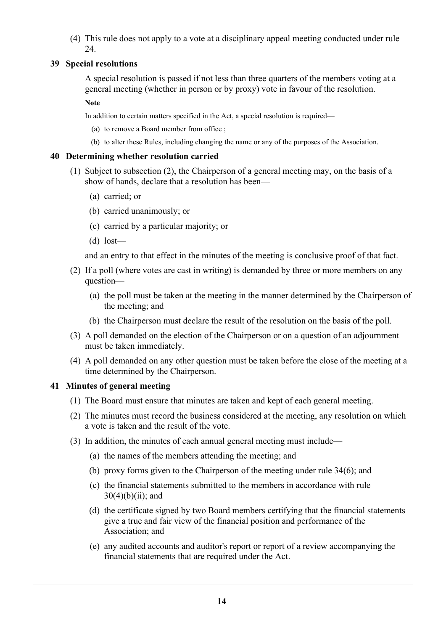(4) This rule does not apply to a vote at a disciplinary appeal meeting conducted under rule 24

## 39 Special resolutions

A special resolution is passed if not less than three quarters of the members voting at a general meeting (whether in person or by proxy) vote in favour of the resolution.

**Note** 

In addition to certain matters specified in the Act, a special resolution is required—

- (a) to remove a Board member from office ;
- (b) to alter these Rules, including changing the name or any of the purposes of the Association.

### 40 Determining whether resolution carried

- (1) Subject to subsection (2), the Chairperson of a general meeting may, on the basis of a show of hands, declare that a resolution has been—
	- (a) carried; or
	- (b) carried unanimously; or
	- (c) carried by a particular majority; or
	- (d) lost—

and an entry to that effect in the minutes of the meeting is conclusive proof of that fact.

- (2) If a poll (where votes are cast in writing) is demanded by three or more members on any question—
	- (a) the poll must be taken at the meeting in the manner determined by the Chairperson of the meeting; and
	- (b) the Chairperson must declare the result of the resolution on the basis of the poll.
- (3) A poll demanded on the election of the Chairperson or on a question of an adjournment must be taken immediately.
- (4) A poll demanded on any other question must be taken before the close of the meeting at a time determined by the Chairperson.

## 41 Minutes of general meeting

- (1) The Board must ensure that minutes are taken and kept of each general meeting.
- (2) The minutes must record the business considered at the meeting, any resolution on which a vote is taken and the result of the vote.
- (3) In addition, the minutes of each annual general meeting must include—
	- (a) the names of the members attending the meeting; and
	- (b) proxy forms given to the Chairperson of the meeting under rule 34(6); and
	- (c) the financial statements submitted to the members in accordance with rule  $30(4)(b)(ii)$ ; and
	- (d) the certificate signed by two Board members certifying that the financial statements give a true and fair view of the financial position and performance of the Association; and
	- (e) any audited accounts and auditor's report or report of a review accompanying the financial statements that are required under the Act.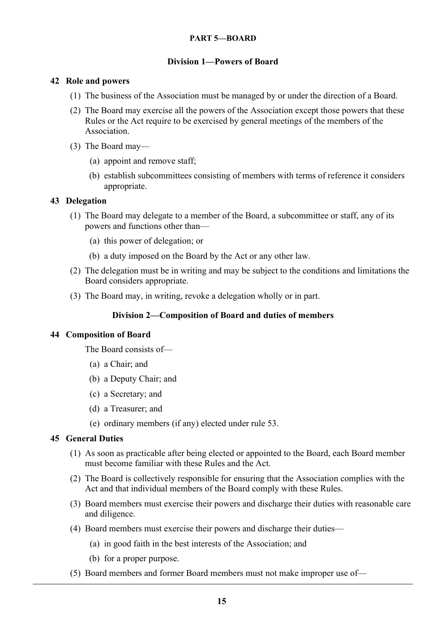## PART 5—BOARD

## Division 1—Powers of Board

## 42 Role and powers

- (1) The business of the Association must be managed by or under the direction of a Board.
- (2) The Board may exercise all the powers of the Association except those powers that these Rules or the Act require to be exercised by general meetings of the members of the Association.
- (3) The Board may—
	- (a) appoint and remove staff;
	- (b) establish subcommittees consisting of members with terms of reference it considers appropriate.

## 43 Delegation

- (1) The Board may delegate to a member of the Board, a subcommittee or staff, any of its powers and functions other than—
	- (a) this power of delegation; or
	- (b) a duty imposed on the Board by the Act or any other law.
- (2) The delegation must be in writing and may be subject to the conditions and limitations the Board considers appropriate.
- (3) The Board may, in writing, revoke a delegation wholly or in part.

# Division 2—Composition of Board and duties of members

## 44 Composition of Board

The Board consists of—

- (a) a Chair; and
- (b) a Deputy Chair; and
- (c) a Secretary; and
- (d) a Treasurer; and
- (e) ordinary members (if any) elected under rule 53.

# 45 General Duties

- (1) As soon as practicable after being elected or appointed to the Board, each Board member must become familiar with these Rules and the Act.
- (2) The Board is collectively responsible for ensuring that the Association complies with the Act and that individual members of the Board comply with these Rules.
- (3) Board members must exercise their powers and discharge their duties with reasonable care and diligence.
- (4) Board members must exercise their powers and discharge their duties—
	- (a) in good faith in the best interests of the Association; and
	- (b) for a proper purpose.
- (5) Board members and former Board members must not make improper use of—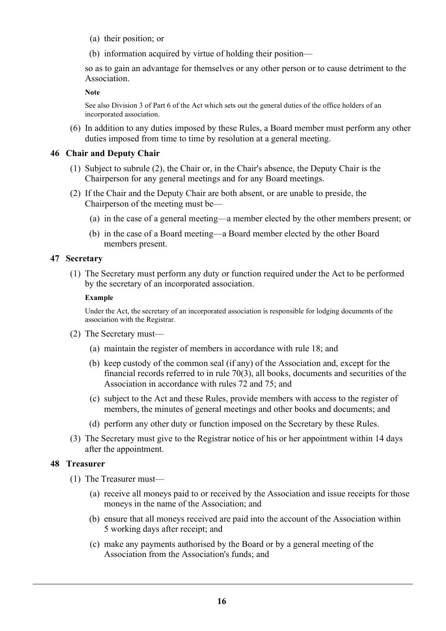- (a) their position; or
- (b) information acquired by virtue of holding their position—

so as to gain an advantage for themselves or any other person or to cause detriment to the Association.

Note

See also Division 3 of Part 6 of the Act which sets out the general duties of the office holders of an incorporated association.

 (6) In addition to any duties imposed by these Rules, a Board member must perform any other duties imposed from time to time by resolution at a general meeting.

### 46 Chair and Deputy Chair

- (1) Subject to subrule (2), the Chair or, in the Chair's absence, the Deputy Chair is the Chairperson for any general meetings and for any Board meetings.
- (2) If the Chair and the Deputy Chair are both absent, or are unable to preside, the Chairperson of the meeting must be—
	- (a) in the case of a general meeting—a member elected by the other members present; or
	- (b) in the case of a Board meeting—a Board member elected by the other Board members present.

## 47 Secretary

 (1) The Secretary must perform any duty or function required under the Act to be performed by the secretary of an incorporated association.

#### Example

Under the Act, the secretary of an incorporated association is responsible for lodging documents of the association with the Registrar.

- (2) The Secretary must—
	- (a) maintain the register of members in accordance with rule 18; and
	- (b) keep custody of the common seal (if any) of the Association and, except for the financial records referred to in rule 70(3), all books, documents and securities of the Association in accordance with rules 72 and 75; and
	- (c) subject to the Act and these Rules, provide members with access to the register of members, the minutes of general meetings and other books and documents; and
	- (d) perform any other duty or function imposed on the Secretary by these Rules.
- (3) The Secretary must give to the Registrar notice of his or her appointment within 14 days after the appointment.

## 48 Treasurer

- (1) The Treasurer must—
	- (a) receive all moneys paid to or received by the Association and issue receipts for those moneys in the name of the Association; and
	- (b) ensure that all moneys received are paid into the account of the Association within 5 working days after receipt; and
	- (c) make any payments authorised by the Board or by a general meeting of the Association from the Association's funds; and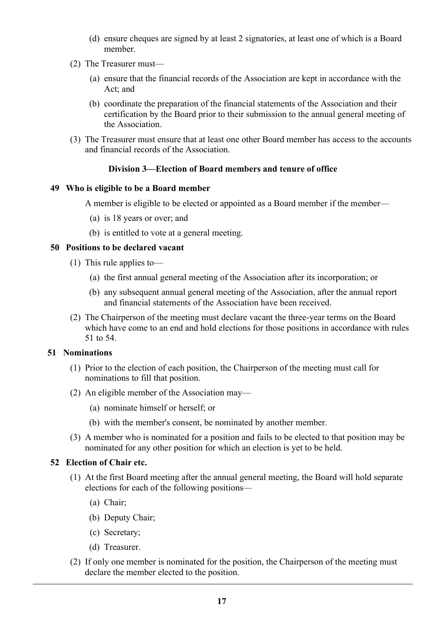- (d) ensure cheques are signed by at least 2 signatories, at least one of which is a Board member.
- (2) The Treasurer must—
	- (a) ensure that the financial records of the Association are kept in accordance with the Act; and
	- (b) coordinate the preparation of the financial statements of the Association and their certification by the Board prior to their submission to the annual general meeting of the Association.
- (3) The Treasurer must ensure that at least one other Board member has access to the accounts and financial records of the Association.

## Division 3—Election of Board members and tenure of office

#### 49 Who is eligible to be a Board member

A member is eligible to be elected or appointed as a Board member if the member—

- (a) is 18 years or over; and
- (b) is entitled to vote at a general meeting.

#### 50 Positions to be declared vacant

- (1) This rule applies to—
	- (a) the first annual general meeting of the Association after its incorporation; or
	- (b) any subsequent annual general meeting of the Association, after the annual report and financial statements of the Association have been received.
- (2) The Chairperson of the meeting must declare vacant the three-year terms on the Board which have come to an end and hold elections for those positions in accordance with rules 51 to 54.

## 51 Nominations

- (1) Prior to the election of each position, the Chairperson of the meeting must call for nominations to fill that position.
- (2) An eligible member of the Association may—
	- (a) nominate himself or herself; or
	- (b) with the member's consent, be nominated by another member.
- (3) A member who is nominated for a position and fails to be elected to that position may be nominated for any other position for which an election is yet to be held.

#### 52 Election of Chair etc.

- (1) At the first Board meeting after the annual general meeting, the Board will hold separate elections for each of the following positions—
	- (a) Chair;
	- (b) Deputy Chair;
	- (c) Secretary;
	- (d) Treasurer.
- (2) If only one member is nominated for the position, the Chairperson of the meeting must declare the member elected to the position.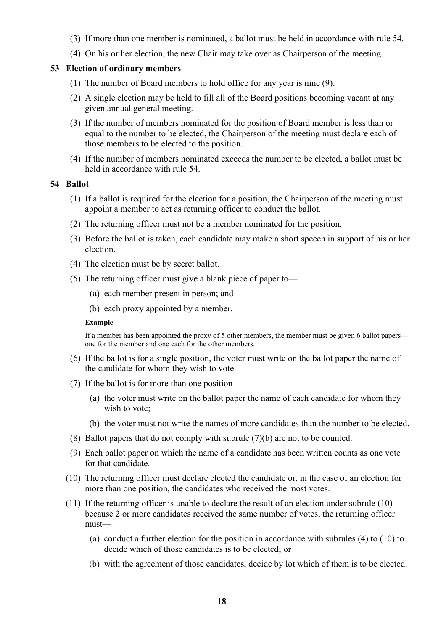- (3) If more than one member is nominated, a ballot must be held in accordance with rule 54.
- (4) On his or her election, the new Chair may take over as Chairperson of the meeting.

## 53 Election of ordinary members

- (1) The number of Board members to hold office for any year is nine (9).
- (2) A single election may be held to fill all of the Board positions becoming vacant at any given annual general meeting.
- (3) If the number of members nominated for the position of Board member is less than or equal to the number to be elected, the Chairperson of the meeting must declare each of those members to be elected to the position.
- (4) If the number of members nominated exceeds the number to be elected, a ballot must be held in accordance with rule 54.

#### 54 Ballot

- (1) If a ballot is required for the election for a position, the Chairperson of the meeting must appoint a member to act as returning officer to conduct the ballot.
- (2) The returning officer must not be a member nominated for the position.
- (3) Before the ballot is taken, each candidate may make a short speech in support of his or her election.
- (4) The election must be by secret ballot.
- (5) The returning officer must give a blank piece of paper to—
	- (a) each member present in person; and
	- (b) each proxy appointed by a member.

#### Example

If a member has been appointed the proxy of 5 other members, the member must be given 6 ballot papers one for the member and one each for the other members.

- (6) If the ballot is for a single position, the voter must write on the ballot paper the name of the candidate for whom they wish to vote.
- (7) If the ballot is for more than one position—
	- (a) the voter must write on the ballot paper the name of each candidate for whom they wish to vote;
	- (b) the voter must not write the names of more candidates than the number to be elected.
- (8) Ballot papers that do not comply with subrule (7)(b) are not to be counted.
- (9) Each ballot paper on which the name of a candidate has been written counts as one vote for that candidate.
- (10) The returning officer must declare elected the candidate or, in the case of an election for more than one position, the candidates who received the most votes.
- (11) If the returning officer is unable to declare the result of an election under subrule (10) because 2 or more candidates received the same number of votes, the returning officer must—
	- (a) conduct a further election for the position in accordance with subrules (4) to (10) to decide which of those candidates is to be elected; or
	- (b) with the agreement of those candidates, decide by lot which of them is to be elected.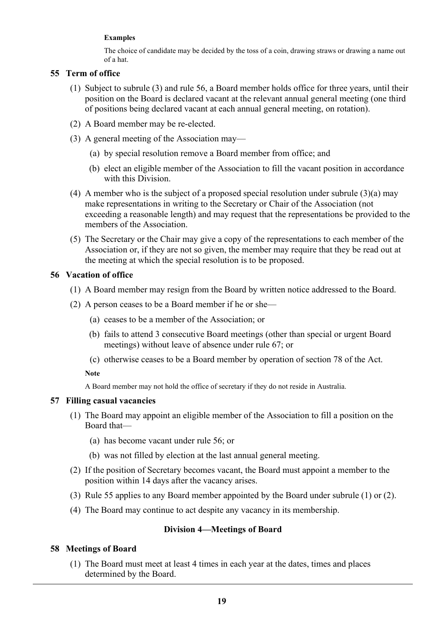#### Examples

The choice of candidate may be decided by the toss of a coin, drawing straws or drawing a name out of a hat.

## 55 Term of office

- (1) Subject to subrule (3) and rule 56, a Board member holds office for three years, until their position on the Board is declared vacant at the relevant annual general meeting (one third of positions being declared vacant at each annual general meeting, on rotation).
- (2) A Board member may be re-elected.
- (3) A general meeting of the Association may—
	- (a) by special resolution remove a Board member from office; and
	- (b) elect an eligible member of the Association to fill the vacant position in accordance with this Division.
- (4) A member who is the subject of a proposed special resolution under subrule (3)(a) may make representations in writing to the Secretary or Chair of the Association (not exceeding a reasonable length) and may request that the representations be provided to the members of the Association.
- (5) The Secretary or the Chair may give a copy of the representations to each member of the Association or, if they are not so given, the member may require that they be read out at the meeting at which the special resolution is to be proposed.

## 56 Vacation of office

- (1) A Board member may resign from the Board by written notice addressed to the Board.
- (2) A person ceases to be a Board member if he or she—
	- (a) ceases to be a member of the Association; or
	- (b) fails to attend 3 consecutive Board meetings (other than special or urgent Board meetings) without leave of absence under rule 67; or
	- (c) otherwise ceases to be a Board member by operation of section 78 of the Act.

Note

A Board member may not hold the office of secretary if they do not reside in Australia.

## 57 Filling casual vacancies

- (1) The Board may appoint an eligible member of the Association to fill a position on the Board that—
	- (a) has become vacant under rule 56; or
	- (b) was not filled by election at the last annual general meeting.
- (2) If the position of Secretary becomes vacant, the Board must appoint a member to the position within 14 days after the vacancy arises.
- (3) Rule 55 applies to any Board member appointed by the Board under subrule (1) or (2).
- (4) The Board may continue to act despite any vacancy in its membership.

# Division 4—Meetings of Board

# 58 Meetings of Board

 (1) The Board must meet at least 4 times in each year at the dates, times and places determined by the Board.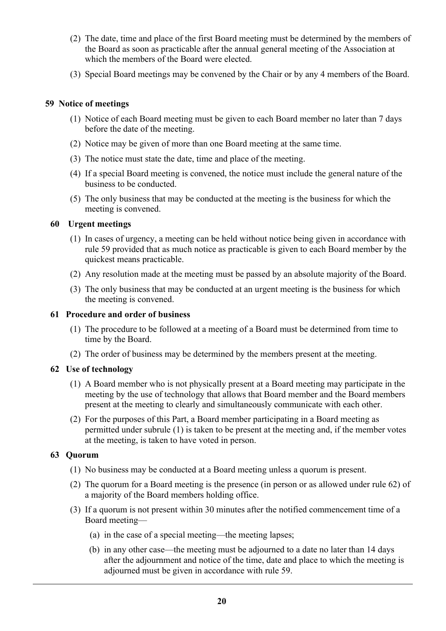- (2) The date, time and place of the first Board meeting must be determined by the members of the Board as soon as practicable after the annual general meeting of the Association at which the members of the Board were elected.
- (3) Special Board meetings may be convened by the Chair or by any 4 members of the Board.

## 59 Notice of meetings

- (1) Notice of each Board meeting must be given to each Board member no later than 7 days before the date of the meeting.
- (2) Notice may be given of more than one Board meeting at the same time.
- (3) The notice must state the date, time and place of the meeting.
- (4) If a special Board meeting is convened, the notice must include the general nature of the business to be conducted.
- (5) The only business that may be conducted at the meeting is the business for which the meeting is convened.

## 60 Urgent meetings

- (1) In cases of urgency, a meeting can be held without notice being given in accordance with rule 59 provided that as much notice as practicable is given to each Board member by the quickest means practicable.
- (2) Any resolution made at the meeting must be passed by an absolute majority of the Board.
- (3) The only business that may be conducted at an urgent meeting is the business for which the meeting is convened.

#### 61 Procedure and order of business

- (1) The procedure to be followed at a meeting of a Board must be determined from time to time by the Board.
- (2) The order of business may be determined by the members present at the meeting.

## 62 Use of technology

- (1) A Board member who is not physically present at a Board meeting may participate in the meeting by the use of technology that allows that Board member and the Board members present at the meeting to clearly and simultaneously communicate with each other.
- (2) For the purposes of this Part, a Board member participating in a Board meeting as permitted under subrule (1) is taken to be present at the meeting and, if the member votes at the meeting, is taken to have voted in person.

## 63 Quorum

- (1) No business may be conducted at a Board meeting unless a quorum is present.
- (2) The quorum for a Board meeting is the presence (in person or as allowed under rule 62) of a majority of the Board members holding office.
- (3) If a quorum is not present within 30 minutes after the notified commencement time of a Board meeting—
	- (a) in the case of a special meeting—the meeting lapses;
	- (b) in any other case—the meeting must be adjourned to a date no later than 14 days after the adjournment and notice of the time, date and place to which the meeting is adjourned must be given in accordance with rule 59.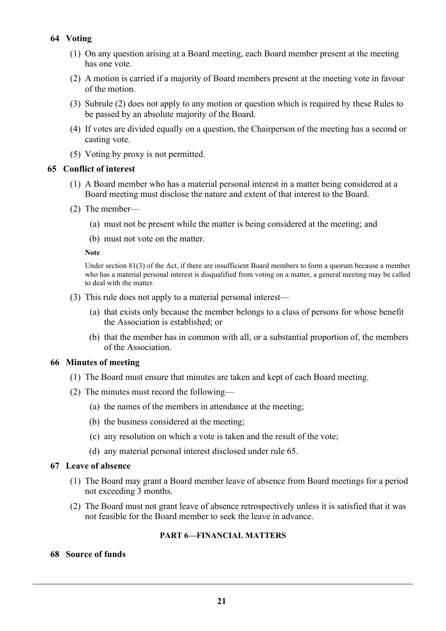# 64 Voting

- (1) On any question arising at a Board meeting, each Board member present at the meeting has one vote.
- (2) A motion is carried if a majority of Board members present at the meeting vote in favour of the motion.
- (3) Subrule (2) does not apply to any motion or question which is required by these Rules to be passed by an absolute majority of the Board.
- (4) If votes are divided equally on a question, the Chairperson of the meeting has a second or casting vote.
- (5) Voting by proxy is not permitted.

## 65 Conflict of interest

- (1) A Board member who has a material personal interest in a matter being considered at a Board meeting must disclose the nature and extent of that interest to the Board.
- (2) The member—
	- (a) must not be present while the matter is being considered at the meeting; and
	- (b) must not vote on the matter.

#### Note

Under section 81(3) of the Act, if there are insufficient Board members to form a quorum because a member who has a material personal interest is disqualified from voting on a matter, a general meeting may be called to deal with the matter.

- (3) This rule does not apply to a material personal interest—
	- (a) that exists only because the member belongs to a class of persons for whose benefit the Association is established; or
	- (b) that the member has in common with all, or a substantial proportion of, the members of the Association.

# 66 Minutes of meeting

- (1) The Board must ensure that minutes are taken and kept of each Board meeting.
- (2) The minutes must record the following—
	- (a) the names of the members in attendance at the meeting;
	- (b) the business considered at the meeting;
	- (c) any resolution on which a vote is taken and the result of the vote;
	- (d) any material personal interest disclosed under rule 65.

## 67 Leave of absence

- (1) The Board may grant a Board member leave of absence from Board meetings for a period not exceeding 3 months.
- (2) The Board must not grant leave of absence retrospectively unless it is satisfied that it was not feasible for the Board member to seek the leave in advance.

# PART 6—FINANCIAL MATTERS

## 68 Source of funds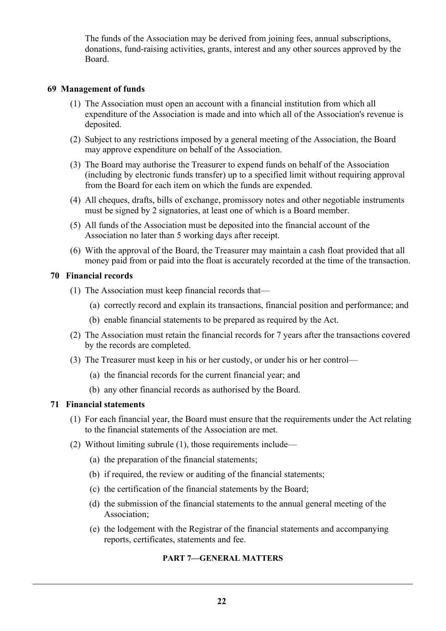The funds of the Association may be derived from joining fees, annual subscriptions, donations, fund-raising activities, grants, interest and any other sources approved by the Board.

## 69 Management of funds

- (1) The Association must open an account with a financial institution from which all expenditure of the Association is made and into which all of the Association's revenue is deposited.
- (2) Subject to any restrictions imposed by a general meeting of the Association, the Board may approve expenditure on behalf of the Association.
- (3) The Board may authorise the Treasurer to expend funds on behalf of the Association (including by electronic funds transfer) up to a specified limit without requiring approval from the Board for each item on which the funds are expended.
- (4) All cheques, drafts, bills of exchange, promissory notes and other negotiable instruments must be signed by 2 signatories, at least one of which is a Board member.
- (5) All funds of the Association must be deposited into the financial account of the Association no later than 5 working days after receipt.
- (6) With the approval of the Board, the Treasurer may maintain a cash float provided that all money paid from or paid into the float is accurately recorded at the time of the transaction.

## 70 Financial records

- (1) The Association must keep financial records that—
	- (a) correctly record and explain its transactions, financial position and performance; and
	- (b) enable financial statements to be prepared as required by the Act.
- (2) The Association must retain the financial records for 7 years after the transactions covered by the records are completed.
- (3) The Treasurer must keep in his or her custody, or under his or her control—
	- (a) the financial records for the current financial year; and
	- (b) any other financial records as authorised by the Board.

## 71 Financial statements

- (1) For each financial year, the Board must ensure that the requirements under the Act relating to the financial statements of the Association are met.
- (2) Without limiting subrule (1), those requirements include—
	- (a) the preparation of the financial statements;
	- (b) if required, the review or auditing of the financial statements;
	- (c) the certification of the financial statements by the Board;
	- (d) the submission of the financial statements to the annual general meeting of the Association;
	- (e) the lodgement with the Registrar of the financial statements and accompanying reports, certificates, statements and fee.

## PART 7—GENERAL MATTERS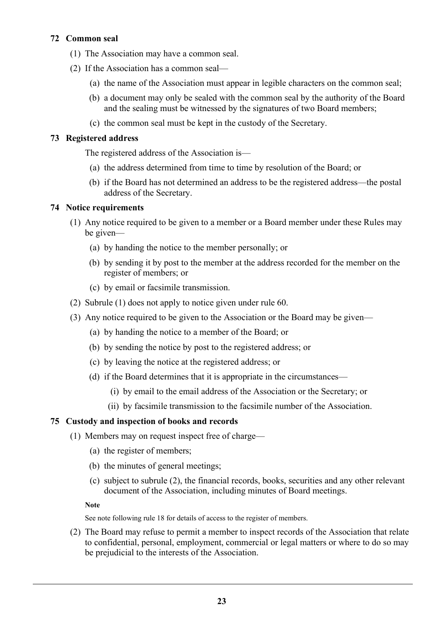# 72 Common seal

- (1) The Association may have a common seal.
- (2) If the Association has a common seal—
	- (a) the name of the Association must appear in legible characters on the common seal;
	- (b) a document may only be sealed with the common seal by the authority of the Board and the sealing must be witnessed by the signatures of two Board members;
	- (c) the common seal must be kept in the custody of the Secretary.

## 73 Registered address

The registered address of the Association is—

- (a) the address determined from time to time by resolution of the Board; or
- (b) if the Board has not determined an address to be the registered address—the postal address of the Secretary.

## 74 Notice requirements

- (1) Any notice required to be given to a member or a Board member under these Rules may be given—
	- (a) by handing the notice to the member personally; or
	- (b) by sending it by post to the member at the address recorded for the member on the register of members; or
	- (c) by email or facsimile transmission.
- (2) Subrule (1) does not apply to notice given under rule 60.
- (3) Any notice required to be given to the Association or the Board may be given—
	- (a) by handing the notice to a member of the Board; or
	- (b) by sending the notice by post to the registered address; or
	- (c) by leaving the notice at the registered address; or
	- (d) if the Board determines that it is appropriate in the circumstances—
		- (i) by email to the email address of the Association or the Secretary; or
		- (ii) by facsimile transmission to the facsimile number of the Association.

## 75 Custody and inspection of books and records

- (1) Members may on request inspect free of charge—
	- (a) the register of members;
	- (b) the minutes of general meetings;
	- (c) subject to subrule (2), the financial records, books, securities and any other relevant document of the Association, including minutes of Board meetings.

## Note

See note following rule 18 for details of access to the register of members.

 (2) The Board may refuse to permit a member to inspect records of the Association that relate to confidential, personal, employment, commercial or legal matters or where to do so may be prejudicial to the interests of the Association.